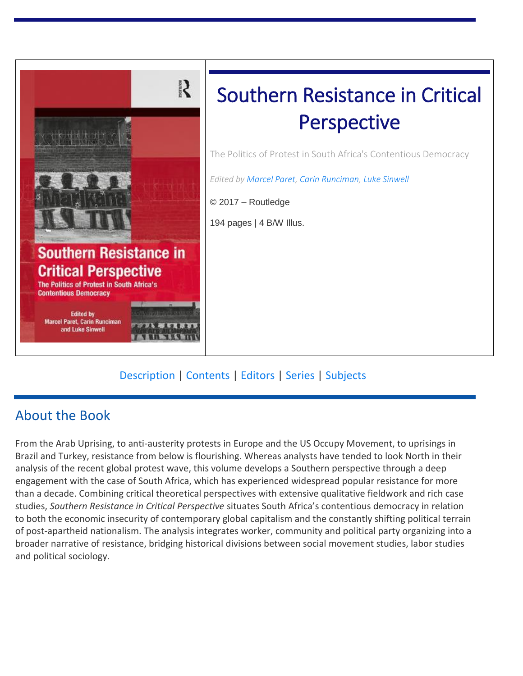

### [Description](https://www.routledge.com/Southern-Resistance-in-Critical-Perspective-The-Politics-of-Protest-in/Paret-Runciman-Sinwell/p/book/9781472473462#description) | [Contents](https://www.routledge.com/Southern-Resistance-in-Critical-Perspective-The-Politics-of-Protest-in/Paret-Runciman-Sinwell/p/book/9781472473462#toc) | [Editors](https://www.routledge.com/Southern-Resistance-in-Critical-Perspective-The-Politics-of-Protest-in/Paret-Runciman-Sinwell/p/book/9781472473462#authorbio) | [Series](https://www.routledge.com/Southern-Resistance-in-Critical-Perspective-The-Politics-of-Protest-in/Paret-Runciman-Sinwell/p/book/9781472473462#series) | [Subjects](https://www.routledge.com/Southern-Resistance-in-Critical-Perspective-The-Politics-of-Protest-in/Paret-Runciman-Sinwell/p/book/9781472473462#subjects)

## About the Book

From the Arab Uprising, to anti-austerity protests in Europe and the US Occupy Movement, to uprisings in Brazil and Turkey, resistance from below is flourishing. Whereas analysts have tended to look North in their analysis of the recent global protest wave, this volume develops a Southern perspective through a deep engagement with the case of South Africa, which has experienced widespread popular resistance for more than a decade. Combining critical theoretical perspectives with extensive qualitative fieldwork and rich case studies, *Southern Resistance in Critical Perspective* situates South Africa's contentious democracy in relation to both the economic insecurity of contemporary global capitalism and the constantly shifting political terrain of post-apartheid nationalism. The analysis integrates worker, community and political party organizing into a broader narrative of resistance, bridging historical divisions between social movement studies, labor studies and political sociology.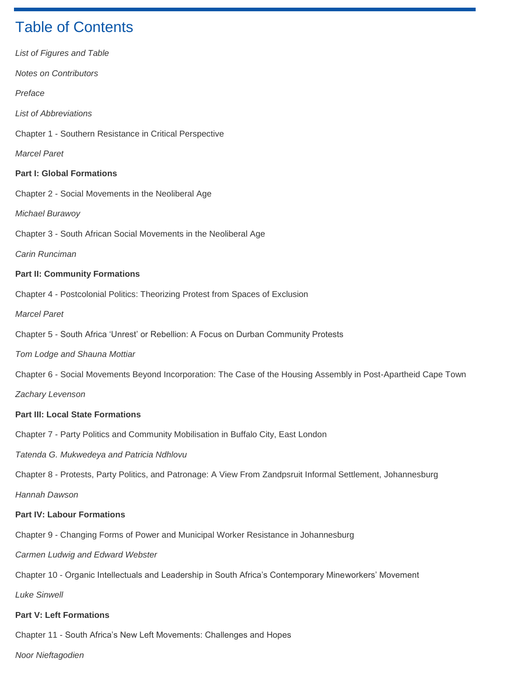# Table of Contents

| List of Figures and Table                                                                                       |
|-----------------------------------------------------------------------------------------------------------------|
| <b>Notes on Contributors</b>                                                                                    |
| Preface                                                                                                         |
| <b>List of Abbreviations</b>                                                                                    |
| Chapter 1 - Southern Resistance in Critical Perspective                                                         |
| <b>Marcel Paret</b>                                                                                             |
| <b>Part I: Global Formations</b>                                                                                |
| Chapter 2 - Social Movements in the Neoliberal Age                                                              |
| Michael Burawoy                                                                                                 |
| Chapter 3 - South African Social Movements in the Neoliberal Age                                                |
| Carin Runciman                                                                                                  |
| <b>Part II: Community Formations</b>                                                                            |
| Chapter 4 - Postcolonial Politics: Theorizing Protest from Spaces of Exclusion                                  |
| <b>Marcel Paret</b>                                                                                             |
| Chapter 5 - South Africa 'Unrest' or Rebellion: A Focus on Durban Community Protests                            |
| Tom Lodge and Shauna Mottiar                                                                                    |
| Chapter 6 - Social Movements Beyond Incorporation: The Case of the Housing Assembly in Post-Apartheid Cape Town |
| Zachary Levenson                                                                                                |
| <b>Part III: Local State Formations</b>                                                                         |
| Chapter 7 - Party Politics and Community Mobilisation in Buffalo City, East London                              |
| Tatenda G. Mukwedeya and Patricia Ndhlovu                                                                       |
| Chapter 8 - Protests, Party Politics, and Patronage: A View From Zandpsruit Informal Settlement, Johannesburg   |
| Hannah Dawson                                                                                                   |
| <b>Part IV: Labour Formations</b>                                                                               |
| Chapter 9 - Changing Forms of Power and Municipal Worker Resistance in Johannesburg                             |
| Carmen Ludwig and Edward Webster                                                                                |
| Chapter 10 - Organic Intellectuals and Leadership in South Africa's Contemporary Mineworkers' Movement          |
| <b>Luke Sinwell</b>                                                                                             |

#### **Part V: Left Formations**

Chapter 11 - South Africa's New Left Movements: Challenges and Hopes

*Noor Nieftagodien*